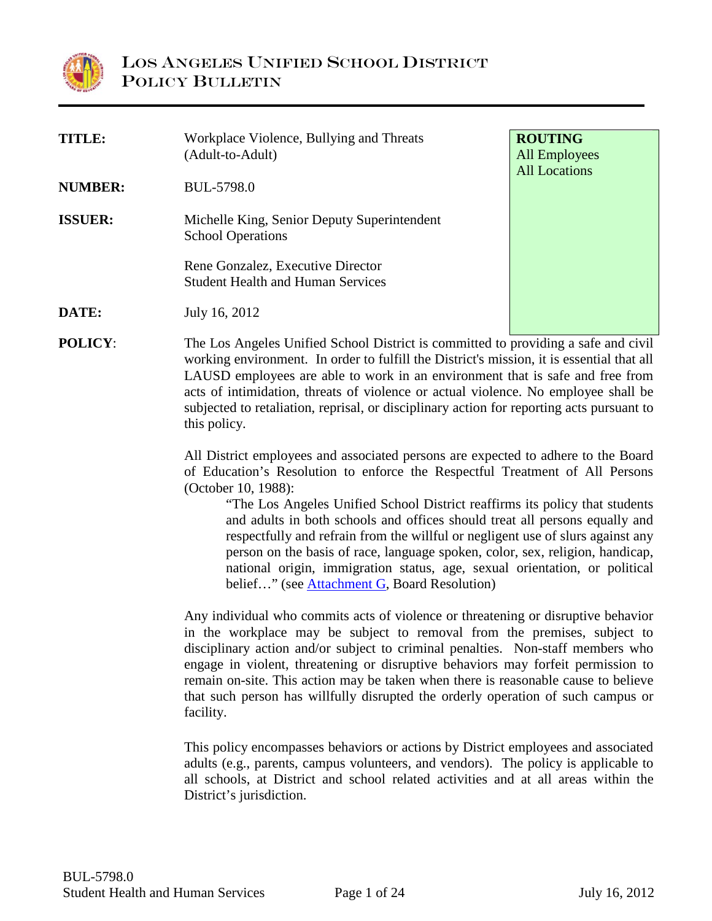

| <b>TITLE:</b><br><b>NUMBER:</b><br><b>ISSUER:</b>                                                                                                                                                                                                                                                                                                                                                                                                                                                                           | Workplace Violence, Bullying and Threats<br>(Adult-to-Adult)<br><b>BUL-5798.0</b><br>Michelle King, Senior Deputy Superintendent<br><b>School Operations</b><br>Rene Gonzalez, Executive Director<br><b>Student Health and Human Services</b>                                                                                                                                                                                                                | <b>ROUTING</b><br><b>All Employees</b><br><b>All Locations</b>                                                                                                                                                                                                                                                                                                                                                                                                                                                                                                                                                           |  |  |
|-----------------------------------------------------------------------------------------------------------------------------------------------------------------------------------------------------------------------------------------------------------------------------------------------------------------------------------------------------------------------------------------------------------------------------------------------------------------------------------------------------------------------------|--------------------------------------------------------------------------------------------------------------------------------------------------------------------------------------------------------------------------------------------------------------------------------------------------------------------------------------------------------------------------------------------------------------------------------------------------------------|--------------------------------------------------------------------------------------------------------------------------------------------------------------------------------------------------------------------------------------------------------------------------------------------------------------------------------------------------------------------------------------------------------------------------------------------------------------------------------------------------------------------------------------------------------------------------------------------------------------------------|--|--|
| DATE:                                                                                                                                                                                                                                                                                                                                                                                                                                                                                                                       | July 16, 2012                                                                                                                                                                                                                                                                                                                                                                                                                                                |                                                                                                                                                                                                                                                                                                                                                                                                                                                                                                                                                                                                                          |  |  |
| <b>POLICY:</b>                                                                                                                                                                                                                                                                                                                                                                                                                                                                                                              | this policy.<br>(October 10, 1988):                                                                                                                                                                                                                                                                                                                                                                                                                          | The Los Angeles Unified School District is committed to providing a safe and civil<br>working environment. In order to fulfill the District's mission, it is essential that all<br>LAUSD employees are able to work in an environment that is safe and free from<br>acts of intimidation, threats of violence or actual violence. No employee shall be<br>subjected to retaliation, reprisal, or disciplinary action for reporting acts pursuant to<br>All District employees and associated persons are expected to adhere to the Board<br>of Education's Resolution to enforce the Respectful Treatment of All Persons |  |  |
|                                                                                                                                                                                                                                                                                                                                                                                                                                                                                                                             | "The Los Angeles Unified School District reaffirms its policy that students<br>and adults in both schools and offices should treat all persons equally and<br>respectfully and refrain from the willful or negligent use of slurs against any<br>person on the basis of race, language spoken, color, sex, religion, handicap,<br>national origin, immigration status, age, sexual orientation, or political<br>belief" (see Attachment G, Board Resolution) |                                                                                                                                                                                                                                                                                                                                                                                                                                                                                                                                                                                                                          |  |  |
| Any individual who commits acts of violence or threatening or disruptive behavior<br>in the workplace may be subject to removal from the premises, subject to<br>disciplinary action and/or subject to criminal penalties. Non-staff members who<br>engage in violent, threatening or disruptive behaviors may forfeit permission to<br>remain on-site. This action may be taken when there is reasonable cause to believe<br>that such person has willfully disrupted the orderly operation of such campus or<br>facility. |                                                                                                                                                                                                                                                                                                                                                                                                                                                              |                                                                                                                                                                                                                                                                                                                                                                                                                                                                                                                                                                                                                          |  |  |

<span id="page-0-0"></span>This policy encompasses behaviors or actions by District employees and associated adults (e.g., parents, campus volunteers, and vendors). The policy is applicable to all schools, at District and school related activities and at all areas within the District's jurisdiction.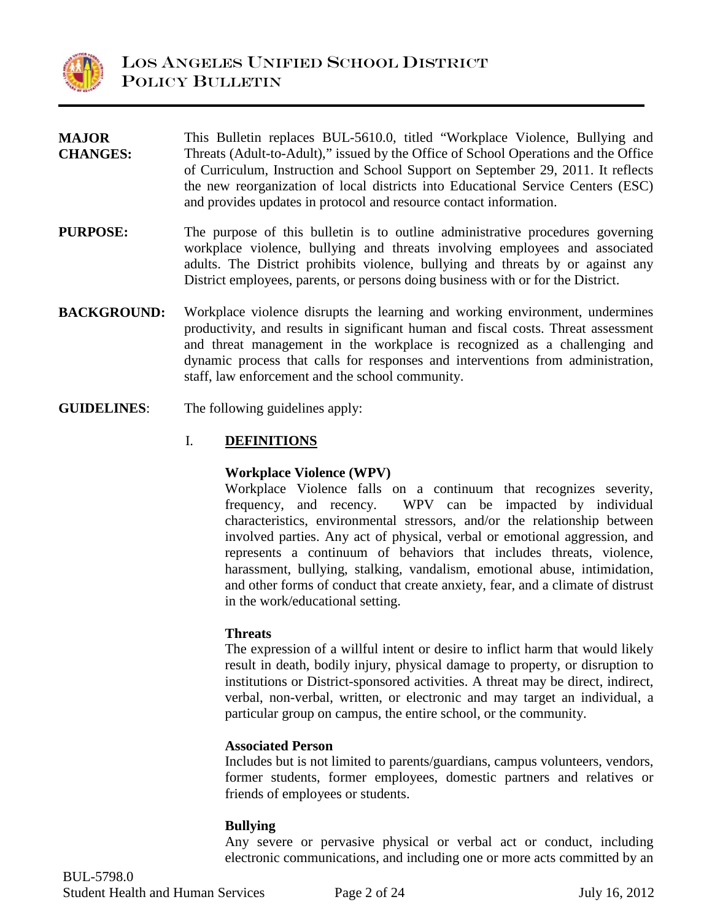

| <b>MAJOR</b>       | This Bulletin replaces BUL-5610.0, titled "Workplace Violence, Bullying and                                                                                                                                                                                                                                                          |
|--------------------|--------------------------------------------------------------------------------------------------------------------------------------------------------------------------------------------------------------------------------------------------------------------------------------------------------------------------------------|
| <b>CHANGES:</b>    | Threats (Adult-to-Adult)," issued by the Office of School Operations and the Office<br>of Curriculum, Instruction and School Support on September 29, 2011. It reflects<br>the new reorganization of local districts into Educational Service Centers (ESC)<br>and provides updates in protocol and resource contact information.    |
| <b>PURPOSE:</b>    | The purpose of this bulletin is to outline administrative procedures governing<br>workplace violence, bullying and threats involving employees and associated<br>adults. The District prohibits violence, bullying and threats by or against any<br>District employees, parents, or persons doing business with or for the District. |
| <b>BACKGROUND:</b> | Workplace violence disrupts the learning and working environment, undermines<br>productivity, and results in significant human and fiscal costs. Threat assessment                                                                                                                                                                   |

- productivity, and results in significant human and fiscal costs. Threat assessment and threat management in the workplace is recognized as a challenging and dynamic process that calls for responses and interventions from administration, staff, law enforcement and the school community.
- **GUIDELINES**: The following guidelines apply:

## I. **DEFINITIONS**

#### **Workplace Violence (WPV)**

Workplace Violence falls on a continuum that recognizes severity, frequency, and recency. WPV can be impacted by individual characteristics, environmental stressors, and/or the relationship between involved parties. Any act of physical, verbal or emotional aggression, and represents a continuum of behaviors that includes threats, violence, harassment, bullying, stalking, vandalism, emotional abuse, intimidation, and other forms of conduct that create anxiety, fear, and a climate of distrust in the work/educational setting.

#### **Threats**

The expression of a willful intent or desire to inflict harm that would likely result in death, bodily injury, physical damage to property, or disruption to institutions or District-sponsored activities. A threat may be direct, indirect, verbal, non-verbal, written, or electronic and may target an individual, a particular group on campus, the entire school, or the community.

## **Associated Person**

Includes but is not limited to parents/guardians, campus volunteers, vendors, former students, former employees, domestic partners and relatives or friends of employees or students.

#### **Bullying**

Any severe or pervasive physical or verbal act or conduct, including electronic communications, and including one or more acts committed by an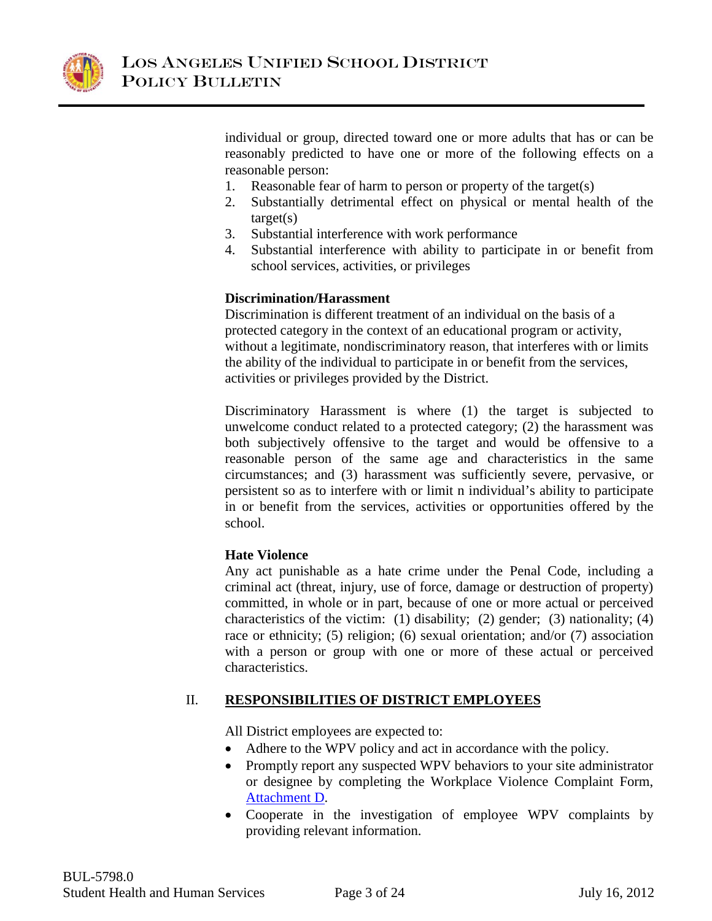

individual or group, directed toward one or more adults that has or can be reasonably predicted to have one or more of the following effects on a reasonable person:

- 1. Reasonable fear of harm to person or property of the target(s)
- 2. Substantially detrimental effect on physical or mental health of the  $target(s)$
- 3. Substantial interference with work performance
- 4. Substantial interference with ability to participate in or benefit from school services, activities, or privileges

#### **Discrimination/Harassment**

Discrimination is different treatment of an individual on the basis of a protected category in the context of an educational program or activity, without a legitimate, nondiscriminatory reason, that interferes with or limits the ability of the individual to participate in or benefit from the services, activities or privileges provided by the District.

Discriminatory Harassment is where (1) the target is subjected to unwelcome conduct related to a protected category; (2) the harassment was both subjectively offensive to the target and would be offensive to a reasonable person of the same age and characteristics in the same circumstances; and (3) harassment was sufficiently severe, pervasive, or persistent so as to interfere with or limit n individual's ability to participate in or benefit from the services, activities or opportunities offered by the school.

## **Hate Violence**

Any act punishable as a hate crime under the Penal Code, including a criminal act (threat, injury, use of force, damage or destruction of property) committed, in whole or in part, because of one or more actual or perceived characteristics of the victim: (1) disability; (2) gender; (3) nationality; (4) race or ethnicity; (5) religion; (6) sexual orientation; and/or (7) association with a person or group with one or more of these actual or perceived characteristics.

# II. **RESPONSIBILITIES OF DISTRICT EMPLOYEES**

All District employees are expected to:

- Adhere to the WPV policy and act in accordance with the policy.
- Promptly report any suspected WPV behaviors to your site administrator or designee by completing the Workplace Violence Complaint Form, [Attachment D.](#page-18-0)
- <span id="page-2-0"></span>• Cooperate in the investigation of employee WPV complaints by providing relevant information.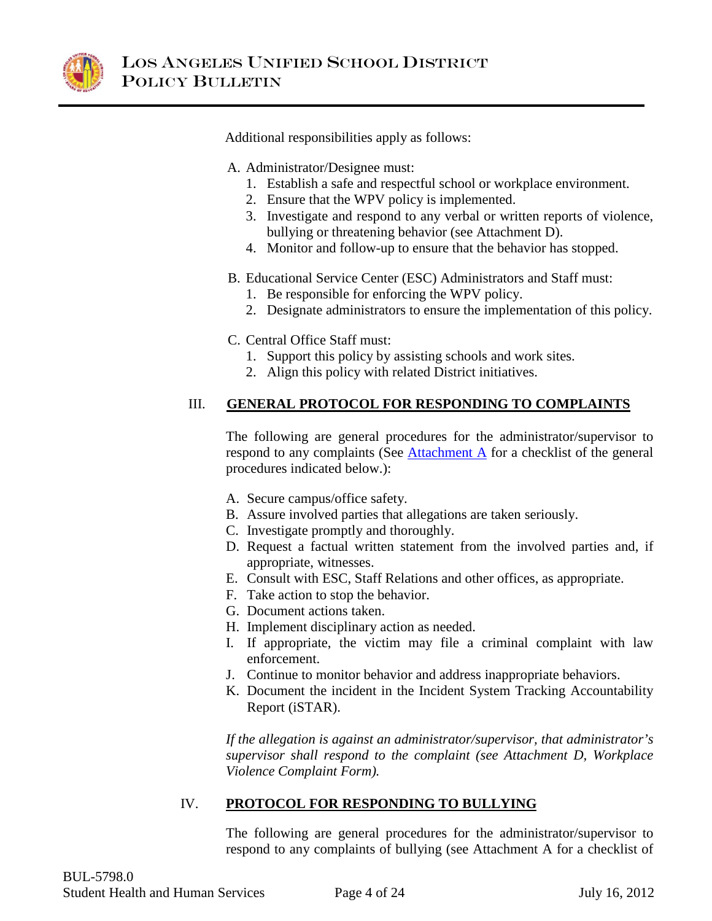

Additional responsibilities apply as follows:

A. Administrator/Designee must:

- 1. Establish a safe and respectful school or workplace environment.
- 2. Ensure that the WPV policy is implemented.
- 3. Investigate and respond to any verbal or written reports of violence, bullying or threatening behavior (see Attachment D).
- 4. Monitor and follow-up to ensure that the behavior has stopped.
- B. Educational Service Center (ESC) Administrators and Staff must:
	- 1. Be responsible for enforcing the WPV policy.
	- 2. Designate administrators to ensure the implementation of this policy.
- C. Central Office Staff must:
	- 1. Support this policy by assisting schools and work sites.
	- 2. Align this policy with related District initiatives.

# III. **GENERAL PROTOCOL FOR RESPONDING TO COMPLAINTS**

<span id="page-3-0"></span>The following are general procedures for the administrator/supervisor to respond to any complaints (See  $\frac{\text{Attachment A}}{\text{A}}$  for a checklist of the general procedures indicated below.):

- A. Secure campus/office safety.
- B. Assure involved parties that allegations are taken seriously.
- C. Investigate promptly and thoroughly.
- D. Request a factual written statement from the involved parties and, if appropriate, witnesses.
- E. Consult with ESC, Staff Relations and other offices, as appropriate.
- F. Take action to stop the behavior.
- G. Document actions taken.
- H. Implement disciplinary action as needed.
- I. If appropriate, the victim may file a criminal complaint with law enforcement.
- J. Continue to monitor behavior and address inappropriate behaviors.
- K. Document the incident in the Incident System Tracking Accountability Report (iSTAR).

*If the allegation is against an administrator/supervisor, that administrator's supervisor shall respond to the complaint (see Attachment D, Workplace Violence Complaint Form).*

# IV. **PROTOCOL FOR RESPONDING TO BULLYING**

The following are general procedures for the administrator/supervisor to respond to any complaints of bullying (see Attachment A for a checklist of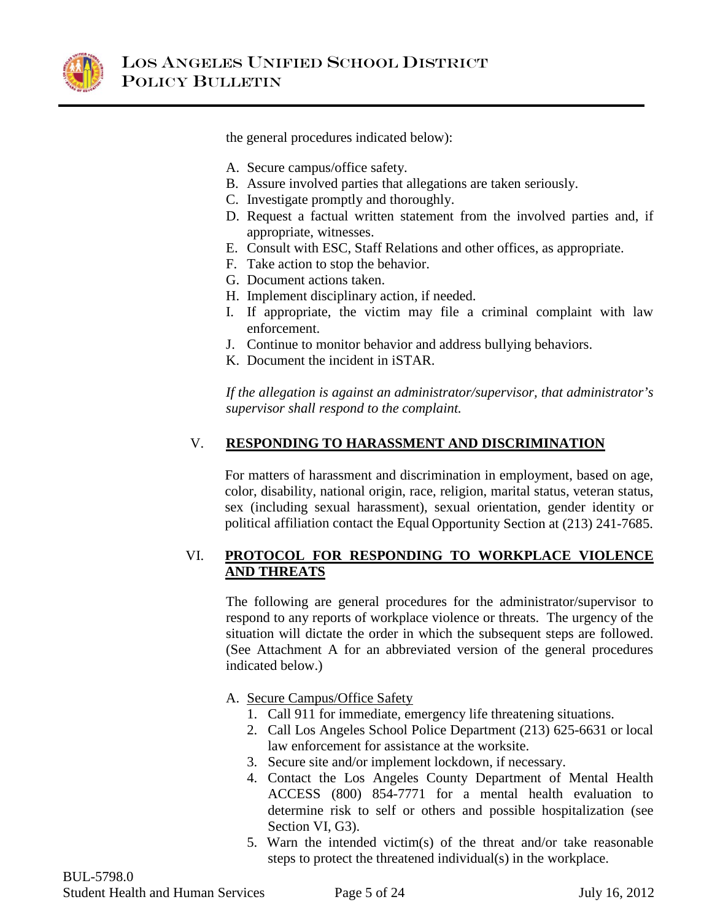

the general procedures indicated below):

- A. Secure campus/office safety.
- B. Assure involved parties that allegations are taken seriously.
- C. Investigate promptly and thoroughly.
- D. Request a factual written statement from the involved parties and, if appropriate, witnesses.
- E. Consult with ESC, Staff Relations and other offices, as appropriate.
- F. Take action to stop the behavior.
- G. Document actions taken.
- H. Implement disciplinary action, if needed.
- I. If appropriate, the victim may file a criminal complaint with law enforcement.
- J. Continue to monitor behavior and address bullying behaviors.
- K. Document the incident in iSTAR.

*If the allegation is against an administrator/supervisor, that administrator's supervisor shall respond to the complaint.*

# V. **RESPONDING TO HARASSMENT AND DISCRIMINATION**

For matters of harassment and discrimination in employment, based on age, color, disability, national origin, race, religion, marital status, veteran status, sex (including sexual harassment), sexual orientation, gender identity or political affiliation contact the Equal Opportunity Section at (213) 241-7685.

## VI. **PROTOCOL FOR RESPONDING TO WORKPLACE VIOLENCE AND THREATS**

The following are general procedures for the administrator/supervisor to respond to any reports of workplace violence or threats. The urgency of the situation will dictate the order in which the subsequent steps are followed. (See Attachment A for an abbreviated version of the general procedures indicated below.)

- A. Secure Campus/Office Safety
	- 1. Call 911 for immediate, emergency life threatening situations.
	- 2. Call Los Angeles School Police Department (213) 625-6631 or local law enforcement for assistance at the worksite.
	- 3. Secure site and/or implement lockdown, if necessary.
	- 4. Contact the Los Angeles County Department of Mental Health ACCESS (800) 854-7771 for a mental health evaluation to determine risk to self or others and possible hospitalization (see Section VI, G3).
	- 5. Warn the intended victim(s) of the threat and/or take reasonable steps to protect the threatened individual(s) in the workplace.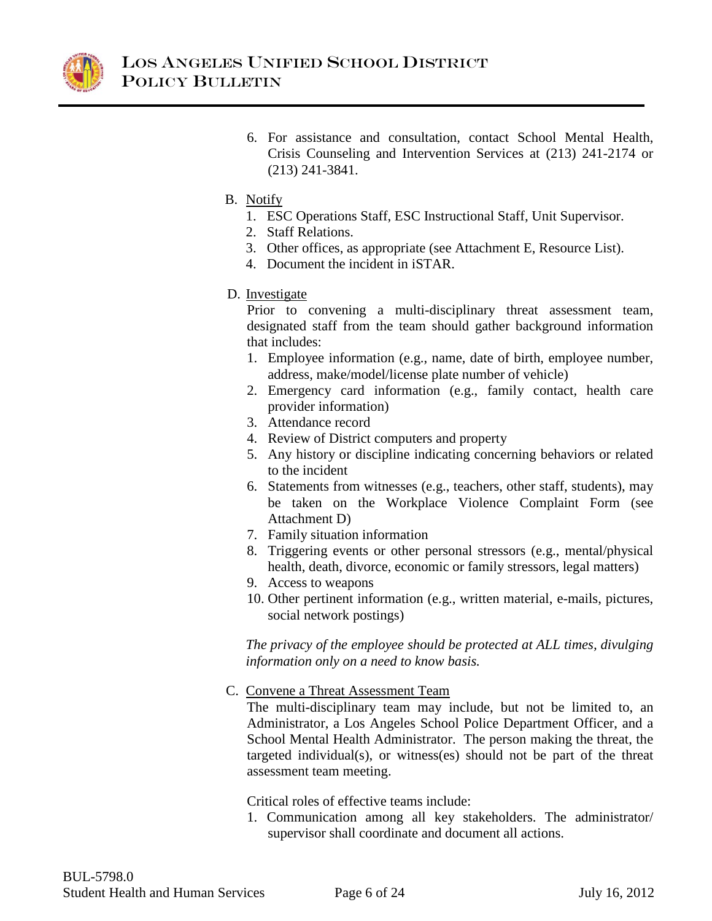

- 6. For assistance and consultation, contact School Mental Health, Crisis Counseling and Intervention Services at (213) 241-2174 or (213) 241-3841.
- B. Notify
	- 1. ESC Operations Staff, ESC Instructional Staff, Unit Supervisor.
	- 2. Staff Relations.
	- 3. Other offices, as appropriate (see Attachment E, Resource List).
	- 4. Document the incident in iSTAR.
- D. Investigate

Prior to convening a multi-disciplinary threat assessment team, designated staff from the team should gather background information that includes:

- 1. Employee information (e.g., name, date of birth, employee number, address, make/model/license plate number of vehicle)
- 2. Emergency card information (e.g., family contact, health care provider information)
- 3. Attendance record
- 4. Review of District computers and property
- 5. Any history or discipline indicating concerning behaviors or related to the incident
- 6. Statements from witnesses (e.g., teachers, other staff, students), may be taken on the Workplace Violence Complaint Form (see Attachment D)
- 7. Family situation information
- 8. Triggering events or other personal stressors (e.g., mental/physical health, death, divorce, economic or family stressors, legal matters)
- 9. Access to weapons
- 10. Other pertinent information (e.g., written material, e-mails, pictures, social network postings)

*The privacy of the employee should be protected at ALL times, divulging information only on a need to know basis.*

C. Convene a Threat Assessment Team

The multi-disciplinary team may include, but not be limited to, an Administrator, a Los Angeles School Police Department Officer, and a School Mental Health Administrator. The person making the threat, the targeted individual(s), or witness(es) should not be part of the threat assessment team meeting.

Critical roles of effective teams include:

1. Communication among all key stakeholders. The administrator/ supervisor shall coordinate and document all actions.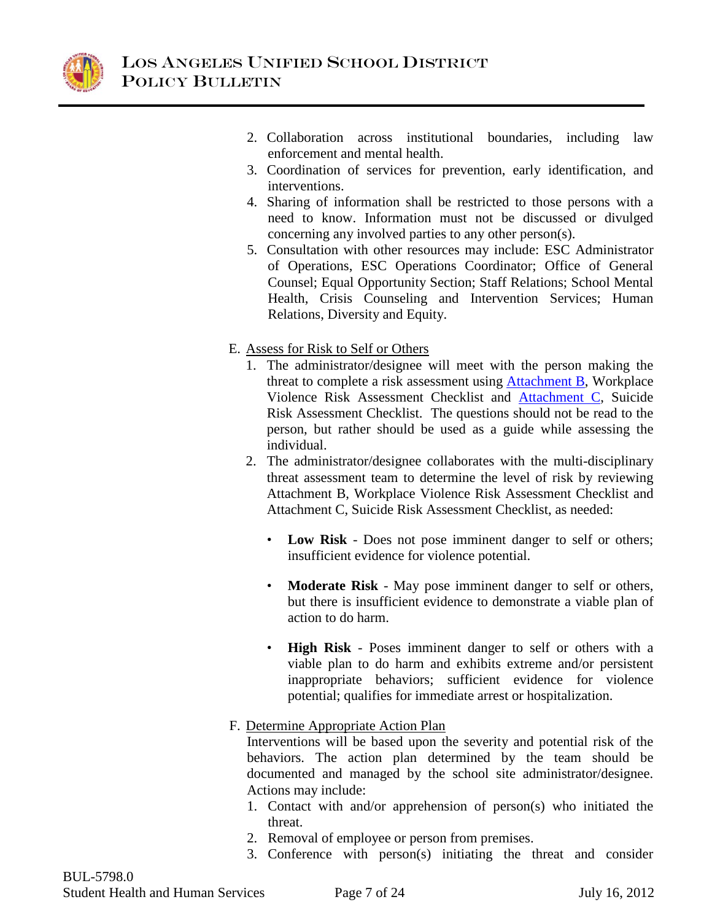

- 2. Collaboration across institutional boundaries, including law enforcement and mental health.
- 3. Coordination of services for prevention, early identification, and interventions.
- 4. Sharing of information shall be restricted to those persons with a need to know. Information must not be discussed or divulged concerning any involved parties to any other person(s).
- 5. Consultation with other resources may include: ESC Administrator of Operations, ESC Operations Coordinator; Office of General Counsel; Equal Opportunity Section; Staff Relations; School Mental Health, Crisis Counseling and Intervention Services; Human Relations, Diversity and Equity.
- <span id="page-6-1"></span><span id="page-6-0"></span>E. Assess for Risk to Self or Others
	- 1. The administrator/designee will meet with the person making the threat to complete a risk assessment using [Attachment B,](#page-14-0) Workplace Violence Risk Assessment Checklist and [Attachment C,](#page-16-0) Suicide Risk Assessment Checklist. The questions should not be read to the person, but rather should be used as a guide while assessing the individual.
	- 2. The administrator/designee collaborates with the multi-disciplinary threat assessment team to determine the level of risk by reviewing Attachment B, Workplace Violence Risk Assessment Checklist and Attachment C, Suicide Risk Assessment Checklist, as needed:
		- **Low Risk** Does not pose imminent danger to self or others; insufficient evidence for violence potential.
		- **Moderate Risk** May pose imminent danger to self or others, but there is insufficient evidence to demonstrate a viable plan of action to do harm.
		- **High Risk**  Poses imminent danger to self or others with a viable plan to do harm and exhibits extreme and/or persistent inappropriate behaviors; sufficient evidence for violence potential; qualifies for immediate arrest or hospitalization.
- F. Determine Appropriate Action Plan

Interventions will be based upon the severity and potential risk of the behaviors. The action plan determined by the team should be documented and managed by the school site administrator/designee. Actions may include:

- 1. Contact with and/or apprehension of person(s) who initiated the threat.
- 2. Removal of employee or person from premises.
- 3. Conference with person(s) initiating the threat and consider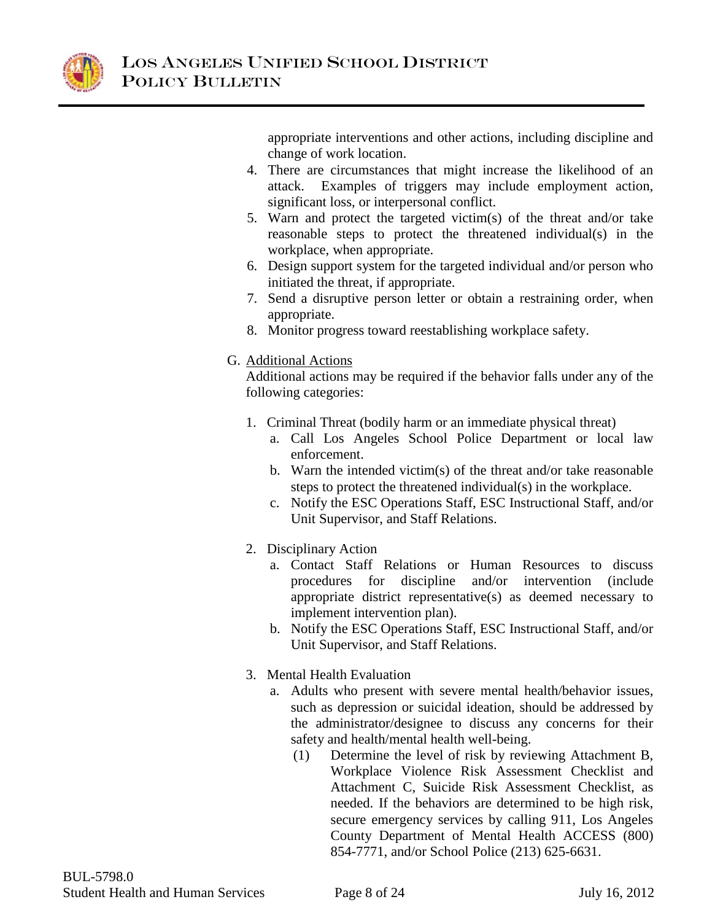

appropriate interventions and other actions, including discipline and change of work location.

- 4. There are circumstances that might increase the likelihood of an attack. Examples of triggers may include employment action, significant loss, or interpersonal conflict.
- 5. Warn and protect the targeted victim(s) of the threat and/or take reasonable steps to protect the threatened individual(s) in the workplace, when appropriate.
- 6. Design support system for the targeted individual and/or person who initiated the threat, if appropriate.
- 7. Send a disruptive person letter or obtain a restraining order, when appropriate.
- 8. Monitor progress toward reestablishing workplace safety.

## G. Additional Actions

Additional actions may be required if the behavior falls under any of the following categories:

- 1. Criminal Threat (bodily harm or an immediate physical threat)
	- a. Call Los Angeles School Police Department or local law enforcement.
	- b. Warn the intended victim(s) of the threat and/or take reasonable steps to protect the threatened individual(s) in the workplace.
	- c. Notify the ESC Operations Staff, ESC Instructional Staff, and/or Unit Supervisor, and Staff Relations.
- 2. Disciplinary Action
	- a. Contact Staff Relations or Human Resources to discuss procedures for discipline and/or intervention (include appropriate district representative(s) as deemed necessary to implement intervention plan).
	- b. Notify the ESC Operations Staff, ESC Instructional Staff, and/or Unit Supervisor, and Staff Relations.
- 3. Mental Health Evaluation
	- a. Adults who present with severe mental health/behavior issues, such as depression or suicidal ideation, should be addressed by the administrator/designee to discuss any concerns for their safety and health/mental health well-being.
		- (1) Determine the level of risk by reviewing Attachment B, Workplace Violence Risk Assessment Checklist and Attachment C, Suicide Risk Assessment Checklist, as needed. If the behaviors are determined to be high risk, secure emergency services by calling 911, Los Angeles County Department of Mental Health ACCESS (800) 854-7771, and/or School Police (213) 625-6631.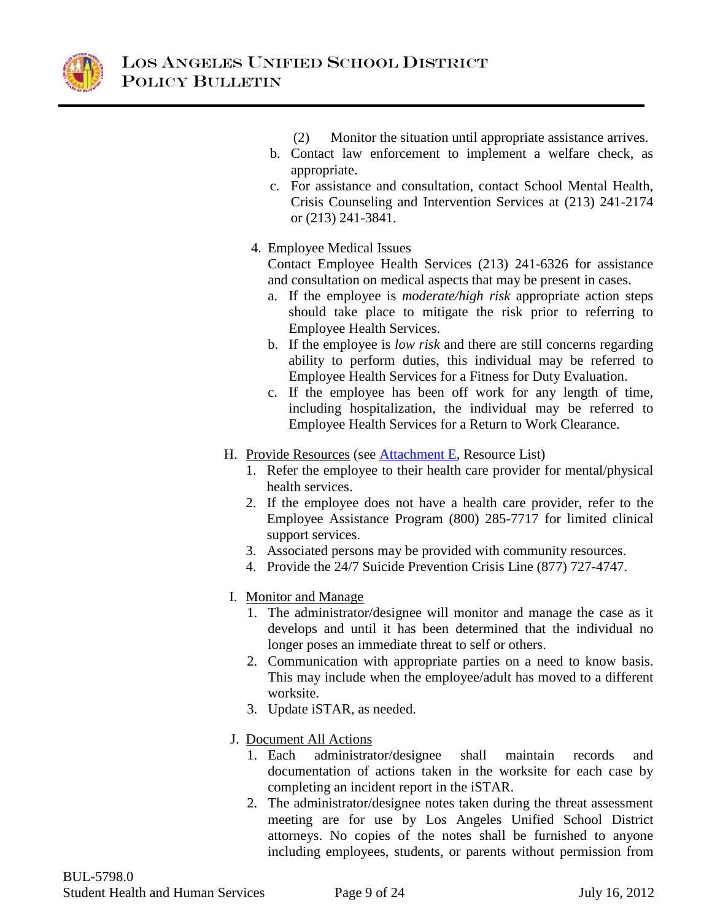

- (2) Monitor the situation until appropriate assistance arrives.
- b. Contact law enforcement to implement a welfare check, as appropriate.
- c. For assistance and consultation, contact School Mental Health, Crisis Counseling and Intervention Services at (213) 241-2174 or (213) 241-3841.

# 4. Employee Medical Issues

Contact Employee Health Services (213) 241-6326 for assistance and consultation on medical aspects that may be present in cases.

- a. If the employee is *moderate/high risk* appropriate action steps should take place to mitigate the risk prior to referring to Employee Health Services.
- b. If the employee is *low risk* and there are still concerns regarding ability to perform duties, this individual may be referred to Employee Health Services for a Fitness for Duty Evaluation.
- <span id="page-8-0"></span>c. If the employee has been off work for any length of time, including hospitalization, the individual may be referred to Employee Health Services for a Return to Work Clearance.
- H. Provide Resources (see [Attachment E,](#page-20-0) Resource List)
	- 1. Refer the employee to their health care provider for mental/physical health services.
	- 2. If the employee does not have a health care provider, refer to the Employee Assistance Program (800) 285-7717 for limited clinical support services.
	- 3. Associated persons may be provided with community resources.
	- 4. Provide the 24/7 Suicide Prevention Crisis Line (877) 727-4747.
- I. Monitor and Manage
	- 1. The administrator/designee will monitor and manage the case as it develops and until it has been determined that the individual no longer poses an immediate threat to self or others.
	- 2. Communication with appropriate parties on a need to know basis. This may include when the employee/adult has moved to a different worksite.
	- 3. Update iSTAR, as needed.
- J. Document All Actions
	- 1. Each administrator/designee shall maintain records and documentation of actions taken in the worksite for each case by completing an incident report in the iSTAR.
	- 2. The administrator/designee notes taken during the threat assessment meeting are for use by Los Angeles Unified School District attorneys. No copies of the notes shall be furnished to anyone including employees, students, or parents without permission from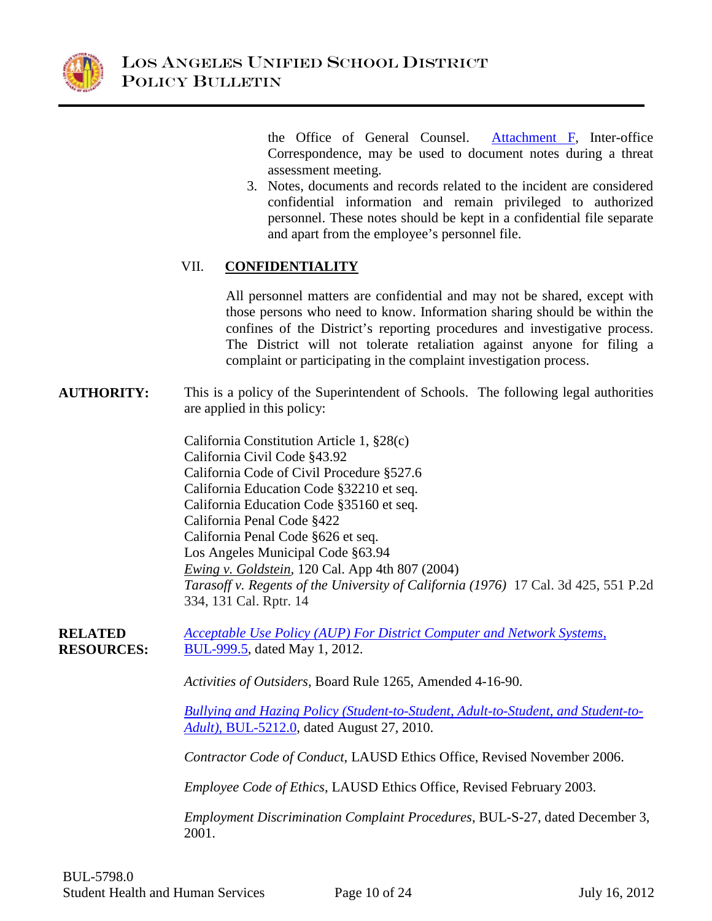

<span id="page-9-0"></span>the Office of General Counsel. [Attachment F,](#page-21-0) Inter-office Correspondence, may be used to document notes during a threat assessment meeting.

3. Notes, documents and records related to the incident are considered confidential information and remain privileged to authorized personnel. These notes should be kept in a confidential file separate and apart from the employee's personnel file.

# VII. **CONFIDENTIALITY**

All personnel matters are confidential and may not be shared, except with those persons who need to know. Information sharing should be within the confines of the District's reporting procedures and investigative process. The District will not tolerate retaliation against anyone for filing a complaint or participating in the complaint investigation process.

**AUTHORITY:** This is a policy of the Superintendent of Schools. The following legal authorities are applied in this policy:

> California Constitution Article 1, §28(c) California Civil Code §43.92 California Code of Civil Procedure §527.6 California Education Code §32210 et seq. California Education Code §35160 et seq. California Penal Code §422 California Penal Code §626 et seq. Los Angeles Municipal Code §63.94 *Ewing v. Goldstein,* 120 Cal. App 4th 807 (2004) *Tarasoff v. [Regents of the University of California](http://en.wikipedia.org/wiki/Regents_of_the_University_of_California) (1976)* 17 Cal. 3d 425, 551 P.2d 334, 131 Cal. Rptr. 14

**RELATED RESOURCES:** *[Acceptable Use Policy \(AUP\) For District Computer and Network Systems,](http://notebook.lausd.net/pls/ptl/url/ITEM/BB58050CF106D014E0430A000210D014)*  [BUL-999.5,](http://notebook.lausd.net/pls/ptl/url/ITEM/BB58050CF106D014E0430A000210D014) dated May 1, 2012.

*Activities of Outsiders*, Board Rule 1265, Amended 4-16-90.

*[Bullying and Hazing Policy \(Student-to-Student, Adult-to-Student, and Student-to-](http://notebook.lausd.net/pls/ptl/url/ITEM/8CDFC4E66F7D505AE0430A000210505A)Adult)*[, BUL-5212.0,](http://notebook.lausd.net/pls/ptl/url/ITEM/8CDFC4E66F7D505AE0430A000210505A) dated August 27, 2010.

*Contractor Code of Conduct*, LAUSD Ethics Office, Revised November 2006.

*Employee Code of Ethics*, LAUSD Ethics Office, Revised February 2003.

*Employment Discrimination Complaint Procedures*, BUL-S-27, dated December 3, 2001.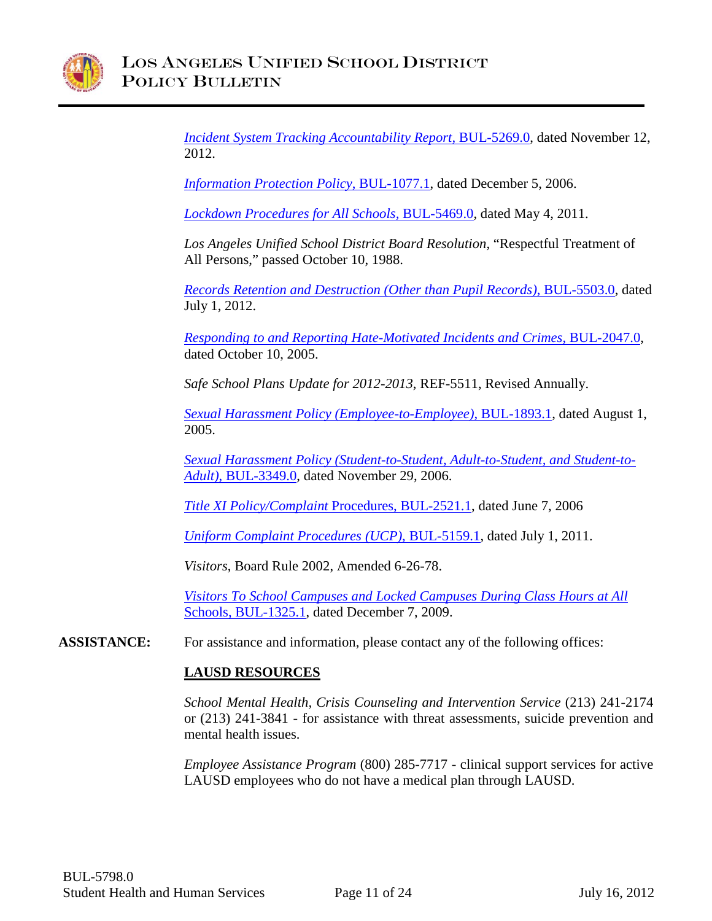

*[Incident System Tracking Accountability Report,](http://notebook.lausd.net/pls/ptl/url/ITEM/8DDD474C8D52403EE0430A000210403E)* BUL-5269.0, dated November 12, 2012.

*[Information Protection Policy](http://notebook.lausd.net/pls/ptl/url/ITEM/23E49E51DDCDC068E0430A000210C068)*, BUL-1077.1, dated December 5, 2006.

*[Lockdown Procedures for All Schools,](http://notebook.lausd.net/pls/ptl/url/ITEM/99871BC8BC027028E0430A0002107028)* BUL-5469.0, dated May 4, 2011.

*Los Angeles Unified School District Board Resolution*, "Respectful Treatment of All Persons," passed October 10, 1988.

*[Records Retention and Destruction \(Other than Pupil Records\)](http://notebook.lausd.net/pls/ptl/url/ITEM/C1D28BEE5B1AC082E0430A000210C082)*, BUL-5503.0, dated July 1, 2012.

*[Responding to and Reporting Hate-Motivated Incidents](http://notebook.lausd.net/pls/ptl/url/ITEM/01C8F754E6E0A0FAE0430A081FB5A0FA) and Crimes*, BUL-2047.0, dated October 10, 2005.

*Safe School Plans Update for 2012-2013*, REF-5511, Revised Annually.

*[Sexual Harassment Policy \(Employee-to-Employee\)](http://notebook.lausd.net/pls/ptl/url/ITEM/FCEA40A25BD37078E0330A081FB57078)*, BUL-1893.1, dated August 1, 2005.

*[Sexual Harassment Policy \(Student-to-Student, Adult-to-Student, and Student-to-](http://notebook.lausd.net/pls/ptl/url/ITEM/1F9EBE758959409CE0430A000210409C)Adult)*, [BUL-3349.0,](http://notebook.lausd.net/pls/ptl/url/ITEM/1F9EBE758959409CE0430A000210409C) dated November 29, 2006.

*[Title XI Policy/Complaint](http://notebook.lausd.net/pls/ptl/url/ITEM/15A671355DD490FCE0430A081FB590FC)* Procedures, BUL-2521.1, dated June 7, 2006

*[Uniform Complaint Procedures \(UCP\)](http://notebook.lausd.net/pls/ptl/url/ITEM/A28A5C9D20244092E0430A0002104092)*, BUL-5159.1, dated July 1, 2011.

*Visitors*, Board Rule 2002, Amended 6-26-78.

*[Visitors To School Campuses and Locked Campuses During Class Hours at All](http://notebook.lausd.net/pls/ptl/url/ITEM/70A8C813E5140040E0430A0002100040)*  [Schools, BUL-1325.1,](http://notebook.lausd.net/pls/ptl/url/ITEM/70A8C813E5140040E0430A0002100040) dated December 7, 2009.

**ASSISTANCE:** For assistance and information, please contact any of the following offices:

## **LAUSD RESOURCES**

*School Mental Health, Crisis Counseling and Intervention Service* (213) 241-2174 or (213) 241-3841 - for assistance with threat assessments, suicide prevention and mental health issues.

*Employee Assistance Program* (800) 285-7717 - clinical support services for active LAUSD employees who do not have a medical plan through LAUSD.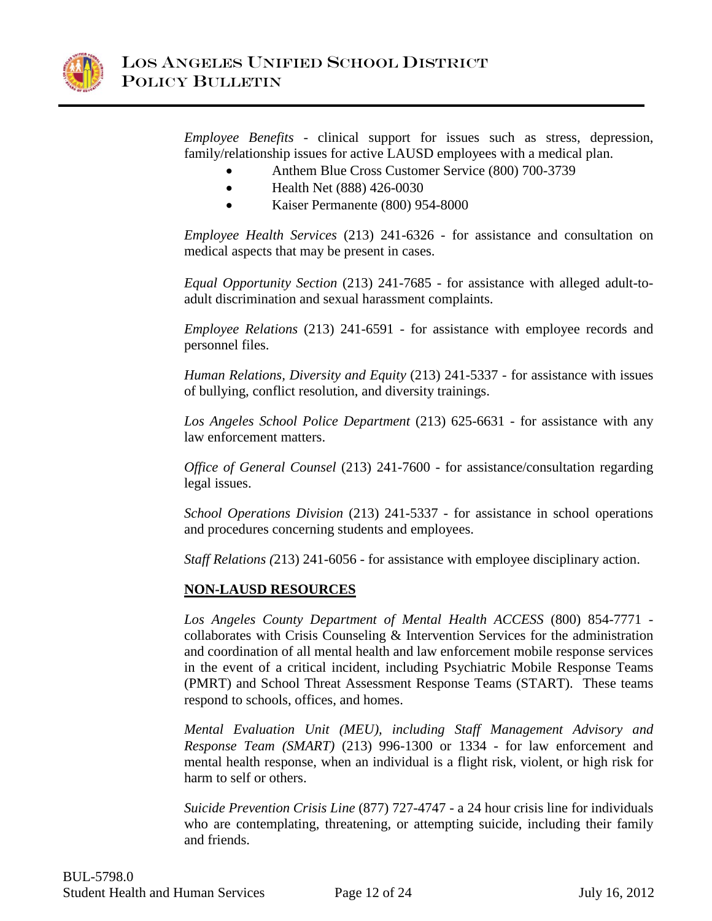

*Employee Benefits* - clinical support for issues such as stress, depression, family/relationship issues for active LAUSD employees with a medical plan.

- Anthem Blue Cross Customer Service (800) 700-3739
- Health Net (888) 426-0030
- Kaiser Permanente (800) 954-8000

*Employee Health Services* (213) 241-6326 - for assistance and consultation on medical aspects that may be present in cases.

*Equal Opportunity Section* (213) 241-7685 - for assistance with alleged adult-toadult discrimination and sexual harassment complaints.

*Employee Relations* (213) 241-6591 - for assistance with employee records and personnel files.

*Human Relations, Diversity and Equity* (213) 241-5337 - for assistance with issues of bullying, conflict resolution, and diversity trainings.

*Los Angeles School Police Department* (213) 625-6631 - for assistance with any law enforcement matters.

*Office of General Counsel* (213) 241-7600 - for assistance/consultation regarding legal issues.

*School Operations Division* (213) 241-5337 - for assistance in school operations and procedures concerning students and employees.

*Staff Relations (*213) 241-6056 - for assistance with employee disciplinary action.

## **NON-LAUSD RESOURCES**

*Los Angeles County Department of Mental Health ACCESS* (800) 854-7771 collaborates with Crisis Counseling & Intervention Services for the administration and coordination of all mental health and law enforcement mobile response services in the event of a critical incident, including Psychiatric Mobile Response Teams (PMRT) and School Threat Assessment Response Teams (START). These teams respond to schools, offices, and homes.

*Mental Evaluation Unit (MEU), including Staff Management Advisory and Response Team (SMART)* (213) 996-1300 or 1334 - for law enforcement and mental health response, when an individual is a flight risk, violent, or high risk for harm to self or others.

*Suicide Prevention Crisis Line* (877) 727-4747 - a 24 hour crisis line for individuals who are contemplating, threatening, or attempting suicide, including their family and friends.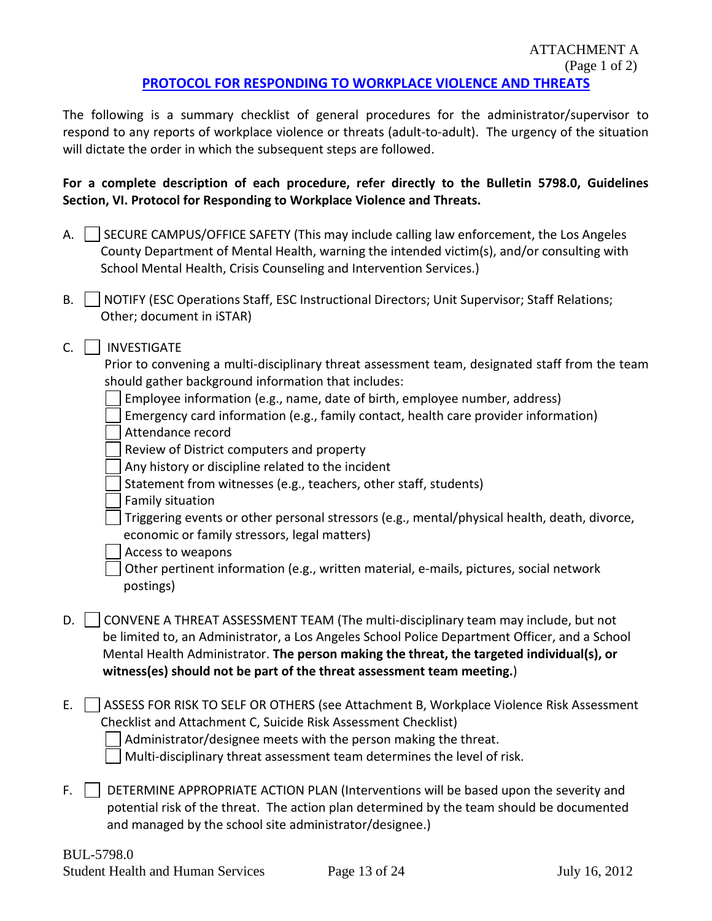#### ATTACHMENT A (Page 1 of 2) **[PROTOCOL FOR RESPONDING TO WORKPLACE VIOLENCE AND THREATS](#page-3-0)**

<span id="page-12-0"></span>The following is a summary checklist of general procedures for the administrator/supervisor to respond to any reports of workplace violence or threats (adult-to-adult). The urgency of the situation will dictate the order in which the subsequent steps are followed.

# **For a complete description of each procedure, refer directly to the Bulletin 5798.0, Guidelines Section, VI. Protocol for Responding to Workplace Violence and Threats.**

- A.  $\vert$  SECURE CAMPUS/OFFICE SAFETY (This may include calling law enforcement, the Los Angeles County Department of Mental Health, warning the intended victim(s), and/or consulting with School Mental Health, Crisis Counseling and Intervention Services.)
- B. | NOTIFY (ESC Operations Staff, ESC Instructional Directors; Unit Supervisor; Staff Relations; Other; document in iSTAR)
- C. | | INVESTIGATE

Prior to convening a multi-disciplinary threat assessment team, designated staff from the team should gather background information that includes:

- Employee information (e.g., name, date of birth, employee number, address)
- Emergency card information (e.g., family contact, health care provider information) Attendance record
- Review of District computers and property
- Any history or discipline related to the incident
- Statement from witnesses (e.g., teachers, other staff, students)
- Family situation
- Triggering events or other personal stressors (e.g., mental/physical health, death, divorce, economic or family stressors, legal matters)
- Access to weapons
- Other pertinent information (e.g., written material, e-mails, pictures, social network postings)
- D. CONVENE A THREAT ASSESSMENT TEAM (The multi-disciplinary team may include, but not be limited to, an Administrator, a Los Angeles School Police Department Officer, and a School Mental Health Administrator. **The person making the threat, the targeted individual(s), or witness(es) should not be part of the threat assessment team meeting.**)
- E.  $\vert$  ASSESS FOR RISK TO SELF OR OTHERS (see Attachment B, Workplace Violence Risk Assessment Checklist and Attachment C, Suicide Risk Assessment Checklist) Administrator/designee meets with the person making the threat. Multi-disciplinary threat assessment team determines the level of risk.
- $F.$  DETERMINE APPROPRIATE ACTION PLAN (Interventions will be based upon the severity and potential risk of the threat. The action plan determined by the team should be documented and managed by the school site administrator/designee.)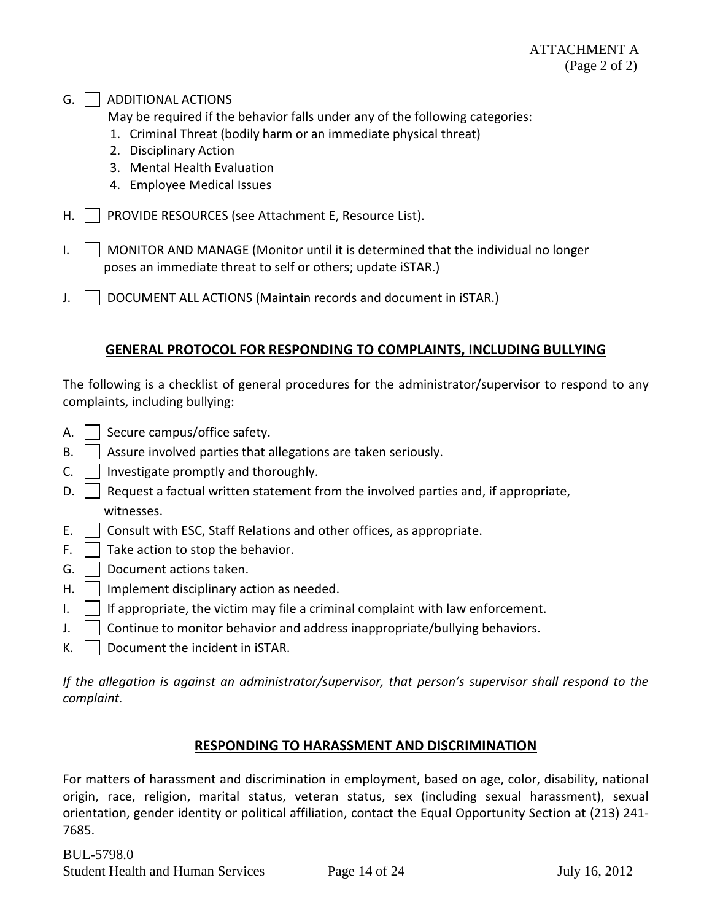#### $G.$  | | ADDITIONAL ACTIONS

May be required if the behavior falls under any of the following categories:

- 1. Criminal Threat (bodily harm or an immediate physical threat)
- 2. Disciplinary Action
- 3. Mental Health Evaluation
- 4. Employee Medical Issues
- H. | | PROVIDE RESOURCES (see Attachment E, Resource List).
- I.  $\parallel$  MONITOR AND MANAGE (Monitor until it is determined that the individual no longer poses an immediate threat to self or others; update iSTAR.)
- J. | DOCUMENT ALL ACTIONS (Maintain records and document in iSTAR.)

# **GENERAL PROTOCOL FOR RESPONDING TO COMPLAINTS, INCLUDING BULLYING**

The following is a checklist of general procedures for the administrator/supervisor to respond to any complaints, including bullying:

- A.  $\vert$  Secure campus/office safety.
- $B.$  Assure involved parties that allegations are taken seriously.
- $C.$  | Investigate promptly and thoroughly.
- $\mathsf{D.}$  | Request a factual written statement from the involved parties and, if appropriate, witnesses.
- E.  $\vert$   $\vert$  Consult with ESC, Staff Relations and other offices, as appropriate.
- F.  $\vert$  Take action to stop the behavior.
- G.  $\vert$  Document actions taken.
- $H.$  | Implement disciplinary action as needed.
- $I.$  | If appropriate, the victim may file a criminal complaint with law enforcement.
- J.  $\vert$  Continue to monitor behavior and address inappropriate/bullying behaviors.
- $K.$  Document the incident in iSTAR.

*If the allegation is against an administrator/supervisor, that person's supervisor shall respond to the complaint.*

#### **RESPONDING TO HARASSMENT AND DISCRIMINATION**

For matters of harassment and discrimination in employment, based on age, color, disability, national origin, race, religion, marital status, veteran status, sex (including sexual harassment), sexual orientation, gender identity or political affiliation, contact the Equal Opportunity Section at (213) 241- 7685.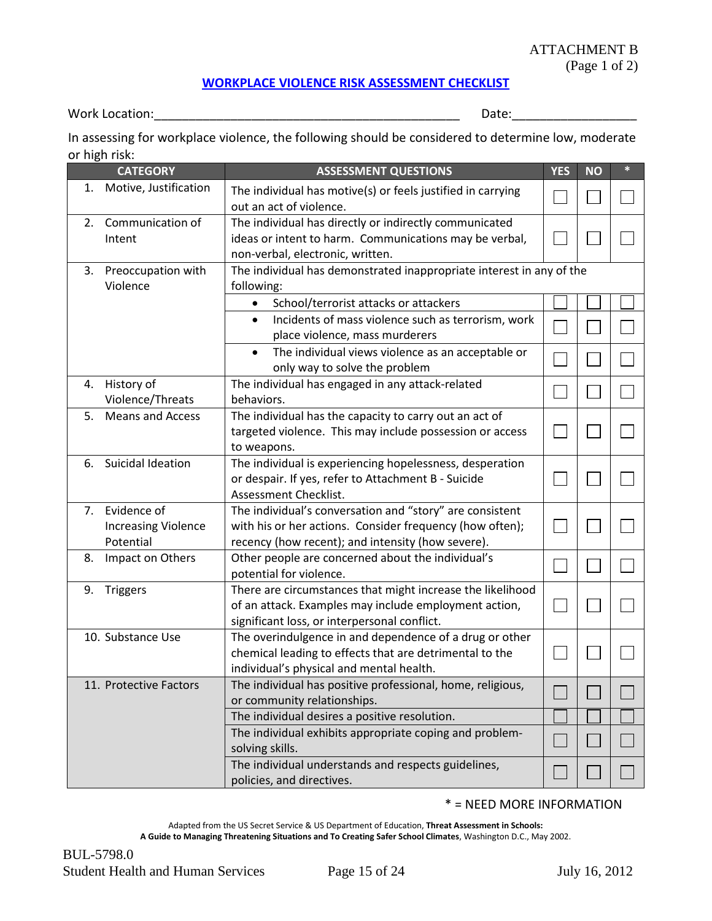#### ATTACHMENT B

(Page 1 of 2)

#### **[WORKPLACE VIOLENCE RISK ASSESSMENT CHECKLIST](#page-6-0)**

<span id="page-14-0"></span>Work Location:\_\_\_\_\_\_\_\_\_\_\_\_\_\_\_\_\_\_\_\_\_\_\_\_\_\_\_\_\_\_\_\_\_\_\_\_\_\_\_\_\_\_\_\_ Date:\_\_\_\_\_\_\_\_\_\_\_\_\_\_\_\_\_\_

In assessing for workplace violence, the following should be considered to determine low, moderate or high risk:

| <b>CATEGORY</b> |                                                           | <b>ASSESSMENT QUESTIONS</b>                                                                                                                                               | <b>YES</b> | <b>NO</b> | $\ast$ |
|-----------------|-----------------------------------------------------------|---------------------------------------------------------------------------------------------------------------------------------------------------------------------------|------------|-----------|--------|
| 1.              | Motive, Justification                                     | The individual has motive(s) or feels justified in carrying<br>out an act of violence.                                                                                    |            |           |        |
|                 | 2. Communication of<br>Intent                             | The individual has directly or indirectly communicated<br>ideas or intent to harm. Communications may be verbal,<br>non-verbal, electronic, written.                      |            |           |        |
| 3.              | Preoccupation with<br>Violence                            | The individual has demonstrated inappropriate interest in any of the<br>following:                                                                                        |            |           |        |
|                 |                                                           | School/terrorist attacks or attackers<br>$\bullet$                                                                                                                        |            |           |        |
|                 |                                                           | Incidents of mass violence such as terrorism, work<br>$\bullet$<br>place violence, mass murderers                                                                         |            |           |        |
|                 |                                                           | The individual views violence as an acceptable or<br>$\bullet$<br>only way to solve the problem                                                                           |            |           |        |
|                 | 4. History of<br>Violence/Threats                         | The individual has engaged in any attack-related<br>behaviors.                                                                                                            |            |           |        |
| 5.              | <b>Means and Access</b>                                   | The individual has the capacity to carry out an act of<br>targeted violence. This may include possession or access<br>to weapons.                                         |            |           |        |
| 6.              | Suicidal Ideation                                         | The individual is experiencing hopelessness, desperation<br>or despair. If yes, refer to Attachment B - Suicide<br>Assessment Checklist.                                  |            |           |        |
|                 | 7. Evidence of<br><b>Increasing Violence</b><br>Potential | The individual's conversation and "story" are consistent<br>with his or her actions. Consider frequency (how often);<br>recency (how recent); and intensity (how severe). |            |           |        |
| 8.              | Impact on Others                                          | Other people are concerned about the individual's<br>potential for violence.                                                                                              |            |           |        |
|                 | 9. Triggers                                               | There are circumstances that might increase the likelihood<br>of an attack. Examples may include employment action,<br>significant loss, or interpersonal conflict.       |            |           |        |
|                 | 10. Substance Use                                         | The overindulgence in and dependence of a drug or other<br>chemical leading to effects that are detrimental to the<br>individual's physical and mental health.            |            |           |        |
|                 | 11. Protective Factors                                    | The individual has positive professional, home, religious,<br>or community relationships.                                                                                 |            |           |        |
|                 |                                                           | The individual desires a positive resolution.                                                                                                                             |            |           |        |
|                 |                                                           | The individual exhibits appropriate coping and problem-<br>solving skills.                                                                                                |            |           |        |
|                 |                                                           | The individual understands and respects guidelines,<br>policies, and directives.                                                                                          |            |           |        |

#### \* = NEED MORE INFORMATION

Adapted from the US Secret Service & US Department of Education, **Threat Assessment in Schools: A Guide to Managing Threatening Situations and To Creating Safer School Climates**, Washington D.C., May 2002.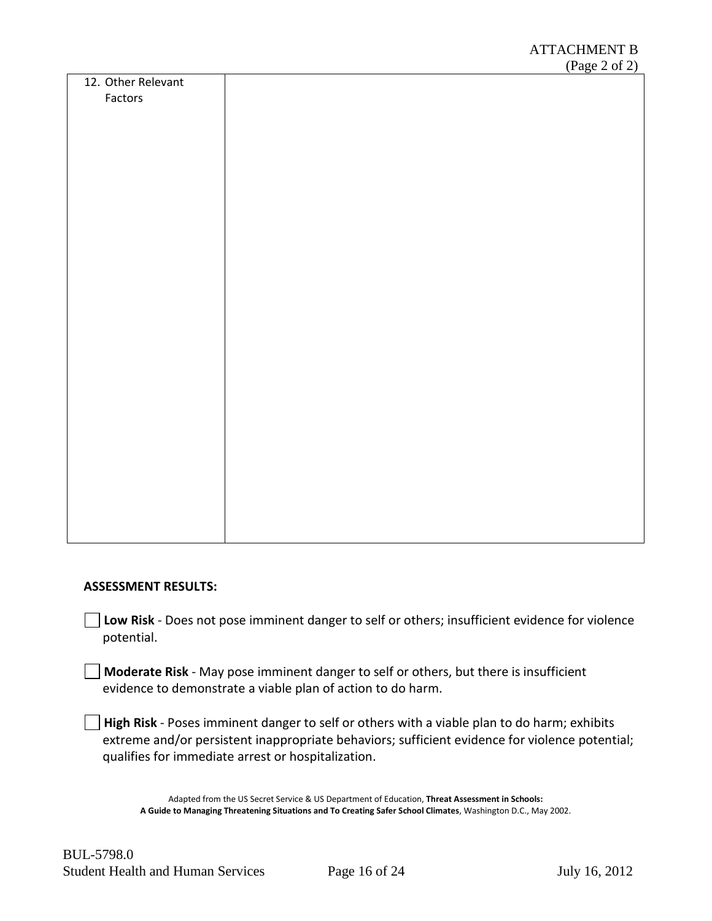|                    |  |  | $(\text{rage } 2 \text{ or } 2)$ |
|--------------------|--|--|----------------------------------|
| 12. Other Relevant |  |  |                                  |
| Factors            |  |  |                                  |
|                    |  |  |                                  |
|                    |  |  |                                  |
|                    |  |  |                                  |
|                    |  |  |                                  |
|                    |  |  |                                  |
|                    |  |  |                                  |
|                    |  |  |                                  |
|                    |  |  |                                  |
|                    |  |  |                                  |
|                    |  |  |                                  |
|                    |  |  |                                  |
|                    |  |  |                                  |
|                    |  |  |                                  |
|                    |  |  |                                  |
|                    |  |  |                                  |
|                    |  |  |                                  |
|                    |  |  |                                  |
|                    |  |  |                                  |
|                    |  |  |                                  |
|                    |  |  |                                  |
|                    |  |  |                                  |
|                    |  |  |                                  |
|                    |  |  |                                  |
|                    |  |  |                                  |
|                    |  |  |                                  |
|                    |  |  |                                  |
|                    |  |  |                                  |
|                    |  |  |                                  |
|                    |  |  |                                  |
|                    |  |  |                                  |

#### **ASSESSMENT RESULTS:**

**Low Risk** - Does not pose imminent danger to self or others; insufficient evidence for violence potential.

**Moderate Risk** - May pose imminent danger to self or others, but there is insufficient evidence to demonstrate a viable plan of action to do harm.

**High Risk** - Poses imminent danger to self or others with a viable plan to do harm; exhibits extreme and/or persistent inappropriate behaviors; sufficient evidence for violence potential; qualifies for immediate arrest or hospitalization.

Adapted from the US Secret Service & US Department of Education, **Threat Assessment in Schools: A Guide to Managing Threatening Situations and To Creating Safer School Climates**, Washington D.C., May 2002.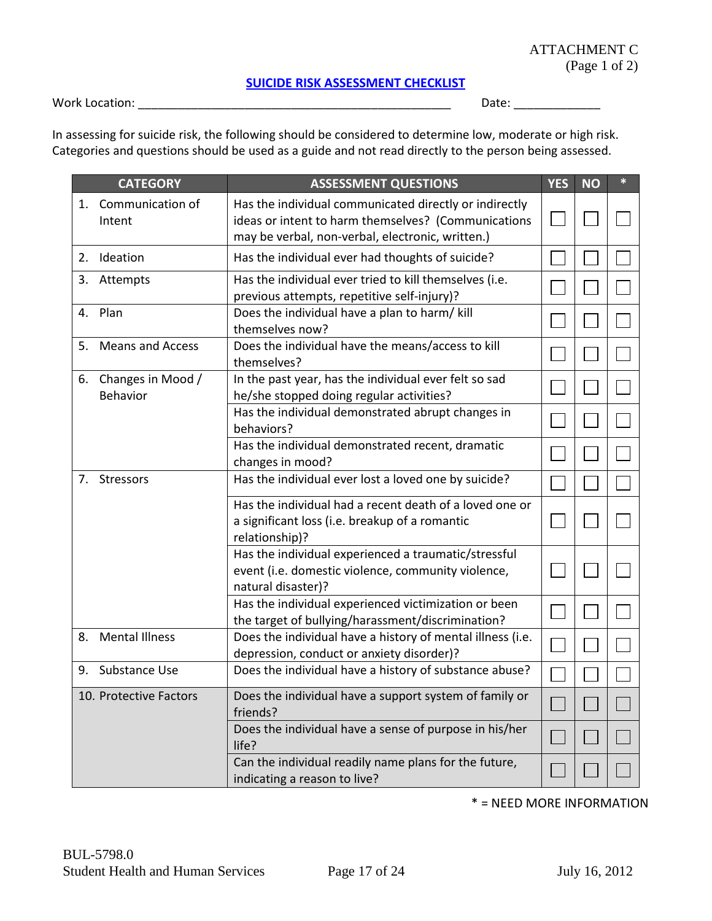#### **[SUICIDE RISK ASSESSMENT CHECKLIST](#page-6-1)**

<span id="page-16-0"></span>Work Location: \_\_\_\_\_\_\_\_\_\_\_\_\_\_\_\_\_\_\_\_\_\_\_\_\_\_\_\_\_\_\_\_\_\_\_\_\_\_\_\_\_\_\_\_\_\_\_ Date: \_\_\_\_\_\_\_\_\_\_\_\_\_

In assessing for suicide risk, the following should be considered to determine low, moderate or high risk. Categories and questions should be used as a guide and not read directly to the person being assessed.

|    | <b>CATEGORY</b>                  | <b>ASSESSMENT QUESTIONS</b>                                                                                                                                       | <b>YES</b> | <b>NO</b> | * |
|----|----------------------------------|-------------------------------------------------------------------------------------------------------------------------------------------------------------------|------------|-----------|---|
| 1. | Communication of<br>Intent       | Has the individual communicated directly or indirectly<br>ideas or intent to harm themselves? (Communications<br>may be verbal, non-verbal, electronic, written.) |            |           |   |
| 2. | Ideation                         | Has the individual ever had thoughts of suicide?                                                                                                                  |            |           |   |
| 3. | Attempts                         | Has the individual ever tried to kill themselves (i.e.<br>previous attempts, repetitive self-injury)?                                                             |            |           |   |
| 4. | Plan                             | Does the individual have a plan to harm/ kill<br>themselves now?                                                                                                  |            |           |   |
| 5. | <b>Means and Access</b>          | Does the individual have the means/access to kill<br>themselves?                                                                                                  |            |           |   |
|    | 6. Changes in Mood /<br>Behavior | In the past year, has the individual ever felt so sad<br>he/she stopped doing regular activities?                                                                 |            |           |   |
|    |                                  | Has the individual demonstrated abrupt changes in<br>behaviors?                                                                                                   |            |           |   |
|    |                                  | Has the individual demonstrated recent, dramatic<br>changes in mood?                                                                                              |            |           |   |
| 7. | <b>Stressors</b>                 | Has the individual ever lost a loved one by suicide?                                                                                                              |            |           |   |
|    |                                  | Has the individual had a recent death of a loved one or<br>a significant loss (i.e. breakup of a romantic<br>relationship)?                                       |            |           |   |
|    |                                  | Has the individual experienced a traumatic/stressful<br>event (i.e. domestic violence, community violence,<br>natural disaster)?                                  |            |           |   |
|    |                                  | Has the individual experienced victimization or been<br>the target of bullying/harassment/discrimination?                                                         |            |           |   |
| 8. | <b>Mental Illness</b>            | Does the individual have a history of mental illness (i.e.<br>depression, conduct or anxiety disorder)?                                                           |            |           |   |
| 9. | Substance Use                    | Does the individual have a history of substance abuse?                                                                                                            |            |           |   |
|    | 10. Protective Factors           | Does the individual have a support system of family or<br>friends?                                                                                                |            |           |   |
|    |                                  | Does the individual have a sense of purpose in his/her<br>life?                                                                                                   |            |           |   |
|    |                                  | Can the individual readily name plans for the future,<br>indicating a reason to live?                                                                             |            |           |   |

\* = NEED MORE INFORMATION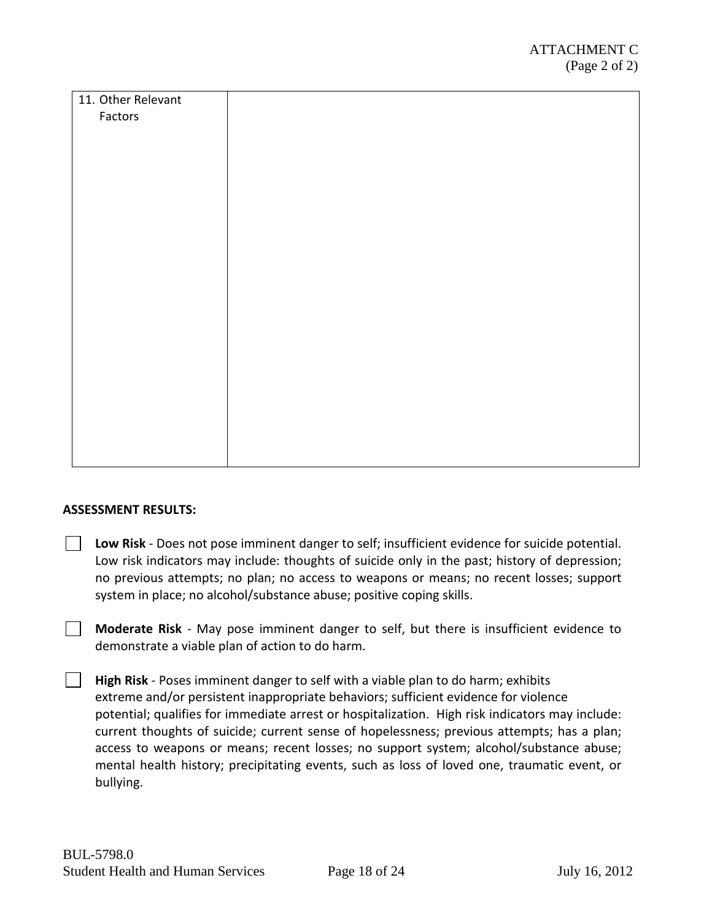| 11. Other Relevant |  |
|--------------------|--|
| Factors            |  |
|                    |  |
|                    |  |
|                    |  |
|                    |  |
|                    |  |
|                    |  |
|                    |  |
|                    |  |
|                    |  |
|                    |  |
|                    |  |
|                    |  |
|                    |  |
|                    |  |
|                    |  |
|                    |  |
|                    |  |
|                    |  |
|                    |  |

#### **ASSESSMENT RESULTS:**

- **Low Risk** Does not pose imminent danger to self; insufficient evidence for suicide potential. Low risk indicators may include: thoughts of suicide only in the past; history of depression; no previous attempts; no plan; no access to weapons or means; no recent losses; support system in place; no alcohol/substance abuse; positive coping skills.
- **Moderate Risk** May pose imminent danger to self, but there is insufficient evidence to demonstrate a viable plan of action to do harm.
- **High Risk**  Poses imminent danger to self with a viable plan to do harm; exhibits extreme and/or persistent inappropriate behaviors; sufficient evidence for violence potential; qualifies for immediate arrest or hospitalization. High risk indicators may include: current thoughts of suicide; current sense of hopelessness; previous attempts; has a plan; access to weapons or means; recent losses; no support system; alcohol/substance abuse; mental health history; precipitating events, such as loss of loved one, traumatic event, or bullying.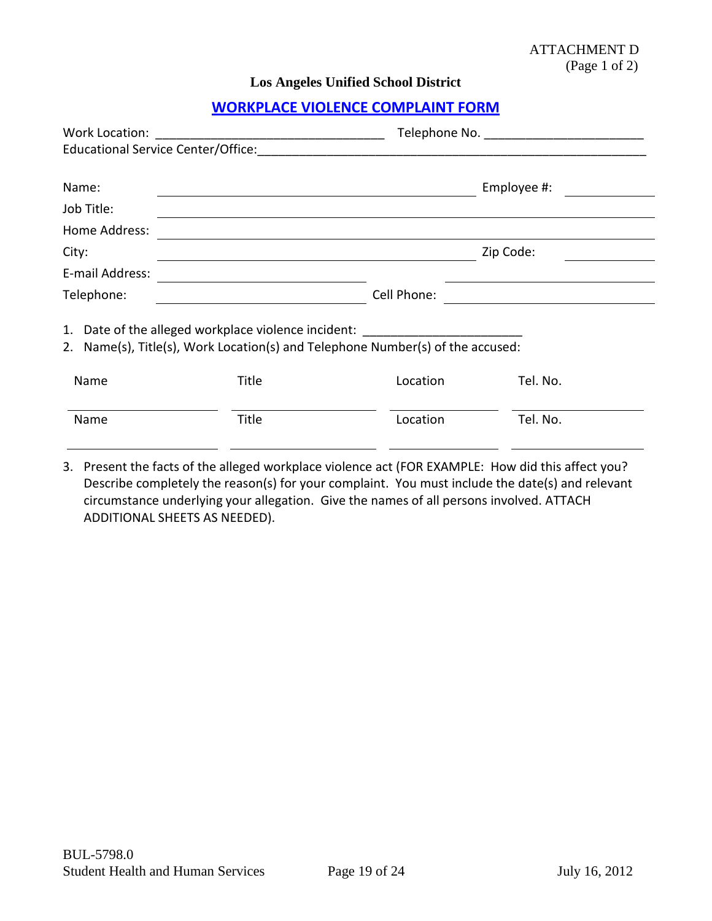<span id="page-18-0"></span>**Los Angeles Unified School District**

# **[WORKPLACE VIOLENCE COMPLAINT FORM](#page-2-0)**

| Work Location:                                                                                                                           |                                                                                                                               |             |                                                           |  |  |
|------------------------------------------------------------------------------------------------------------------------------------------|-------------------------------------------------------------------------------------------------------------------------------|-------------|-----------------------------------------------------------|--|--|
| Name:<br>Job Title:<br>Home Address:                                                                                                     | <u> 1999 - Johann Stoff, deutscher Stoff, der Stoff, der Stoff, der Stoff, der Stoff, der Stoff, der Stoff, der S</u>         |             | Employee #:                                               |  |  |
| City:                                                                                                                                    | and the control of the control of the control of the control of the control of the control of the control of the<br>Zip Code: |             |                                                           |  |  |
| E-mail Address:                                                                                                                          |                                                                                                                               |             |                                                           |  |  |
| Telephone:                                                                                                                               |                                                                                                                               | Cell Phone: | <u> 1989 - Andrea Station Books, amerikansk politik (</u> |  |  |
| Date of the alleged workplace violence incident:<br>1.<br>2. Name(s), Title(s), Work Location(s) and Telephone Number(s) of the accused: |                                                                                                                               |             |                                                           |  |  |
| Name                                                                                                                                     | Title                                                                                                                         | Location    | Tel. No.                                                  |  |  |
| Name                                                                                                                                     | Title                                                                                                                         | Location    | Tel. No.                                                  |  |  |

3. Present the facts of the alleged workplace violence act (FOR EXAMPLE: How did this affect you? Describe completely the reason(s) for your complaint. You must include the date(s) and relevant circumstance underlying your allegation. Give the names of all persons involved. ATTACH ADDITIONAL SHEETS AS NEEDED).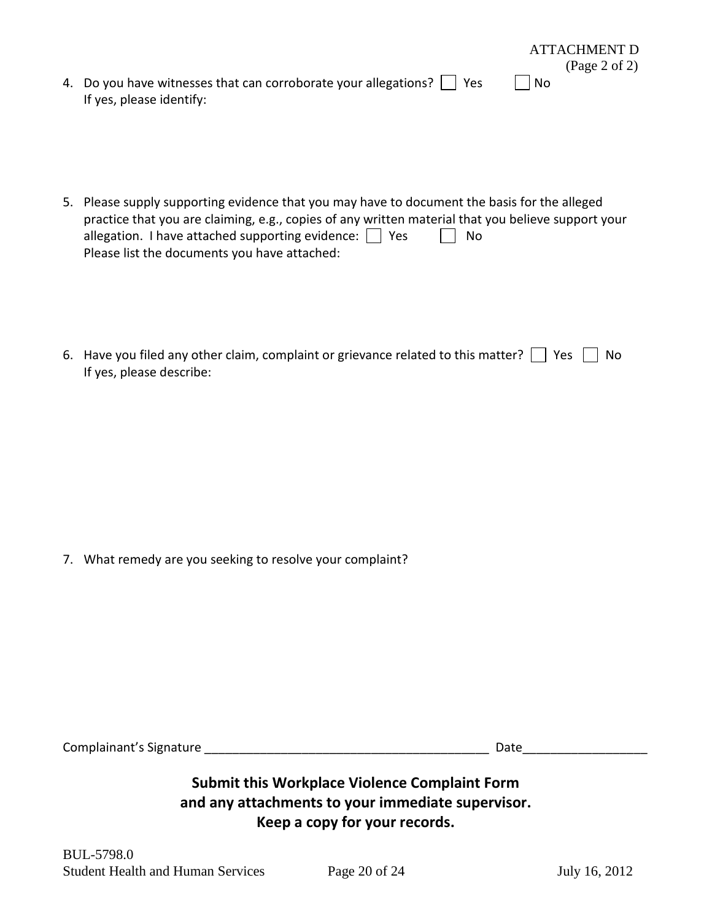|                                                                            |      | $({\rm Page}\ 2\ of\ 2)$ |
|----------------------------------------------------------------------------|------|--------------------------|
| 4. Do you have witnesses that can corroborate your allegations? $\Box$ Yes | l No |                          |
| If yes, please identify:                                                   |      |                          |

- 5. Please supply supporting evidence that you may have to document the basis for the alleged practice that you are claiming, e.g., copies of any written material that you believe support your allegation. I have attached supporting evidence:  $\Box$  Yes  $\Box$  No Please list the documents you have attached:
- 6. Have you filed any other claim, complaint or grievance related to this matter?  $\Box$  Yes  $\Box$  No If yes, please describe:

7. What remedy are you seeking to resolve your complaint?

| Complainant's Signature | Date |
|-------------------------|------|
|                         |      |

# **Submit this Workplace Violence Complaint Form and any attachments to your immediate supervisor. Keep a copy for your records.**

ATTACHMENT D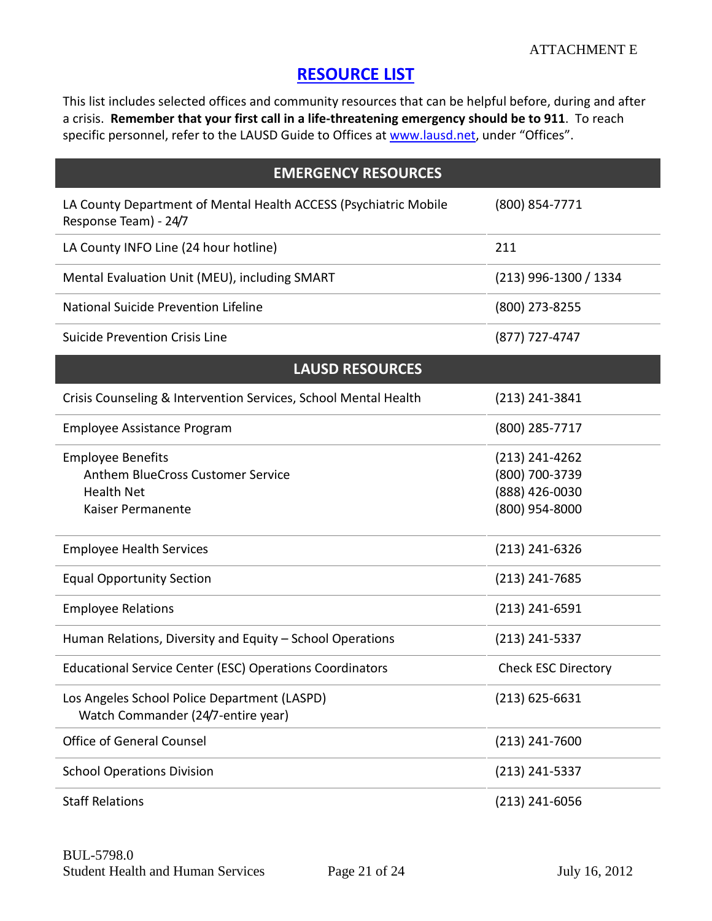# **[RESOURCE LIST](#page-8-0)**

<span id="page-20-0"></span>This list includes selected offices and community resources that can be helpful before, during and after a crisis. **Remember that your first call in a life-threatening emergency should be to 911**. To reach specific personnel, refer to the LAUSD Guide to Offices at [www.lausd.net,](http://www.lausd.net/) under "Offices".

| <b>EMERGENCY RESOURCES</b>                                                                              |                                                                        |  |  |  |
|---------------------------------------------------------------------------------------------------------|------------------------------------------------------------------------|--|--|--|
| LA County Department of Mental Health ACCESS (Psychiatric Mobile<br>Response Team) - 24/7               | (800) 854-7771                                                         |  |  |  |
| LA County INFO Line (24 hour hotline)                                                                   | 211                                                                    |  |  |  |
| Mental Evaluation Unit (MEU), including SMART                                                           | (213) 996-1300 / 1334                                                  |  |  |  |
| National Suicide Prevention Lifeline                                                                    | (800) 273-8255                                                         |  |  |  |
| <b>Suicide Prevention Crisis Line</b>                                                                   | (877) 727-4747                                                         |  |  |  |
| <b>LAUSD RESOURCES</b>                                                                                  |                                                                        |  |  |  |
| Crisis Counseling & Intervention Services, School Mental Health                                         | $(213)$ 241-3841                                                       |  |  |  |
| <b>Employee Assistance Program</b>                                                                      | (800) 285-7717                                                         |  |  |  |
| <b>Employee Benefits</b><br>Anthem BlueCross Customer Service<br><b>Health Net</b><br>Kaiser Permanente | $(213)$ 241-4262<br>(800) 700-3739<br>(888) 426-0030<br>(800) 954-8000 |  |  |  |
| <b>Employee Health Services</b>                                                                         | $(213)$ 241-6326                                                       |  |  |  |
| <b>Equal Opportunity Section</b>                                                                        | $(213)$ 241-7685                                                       |  |  |  |
| <b>Employee Relations</b>                                                                               | $(213)$ 241-6591                                                       |  |  |  |
| Human Relations, Diversity and Equity - School Operations                                               | $(213)$ 241-5337                                                       |  |  |  |
| <b>Educational Service Center (ESC) Operations Coordinators</b>                                         | <b>Check ESC Directory</b>                                             |  |  |  |
| Los Angeles School Police Department (LASPD)<br>Watch Commander (24/7-entire year)                      | $(213)$ 625-6631                                                       |  |  |  |
| <b>Office of General Counsel</b>                                                                        | $(213)$ 241-7600                                                       |  |  |  |
| <b>School Operations Division</b>                                                                       | $(213)$ 241-5337                                                       |  |  |  |
| <b>Staff Relations</b>                                                                                  | $(213)$ 241-6056                                                       |  |  |  |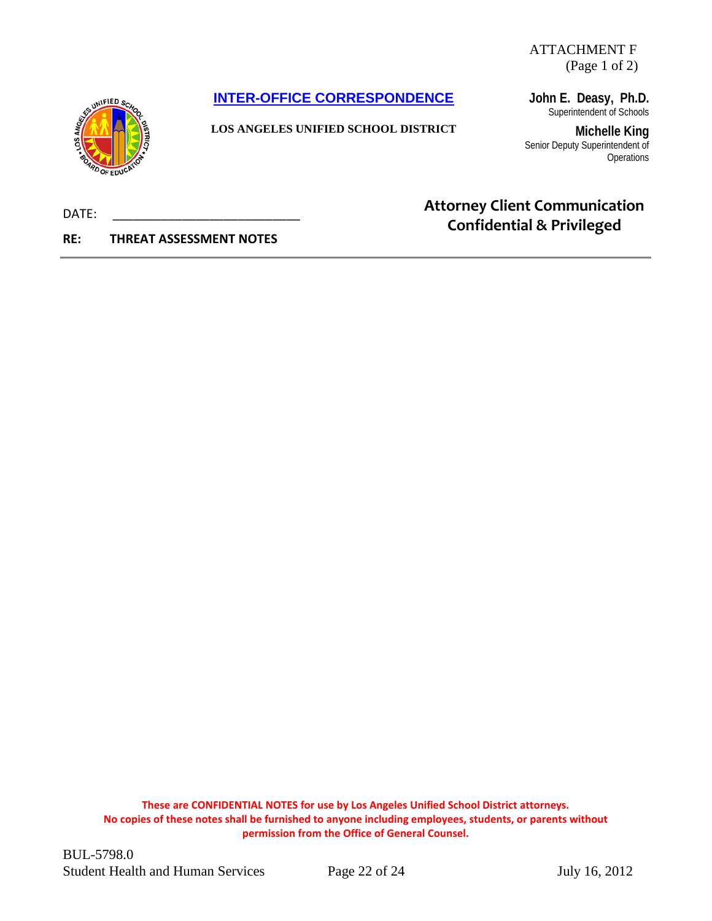ATTACHMENT F (Page 1 of 2)

<span id="page-21-0"></span>**[INTER-OFFICE CORRESPONDENCE](#page-9-0)**



**LOS ANGELES UNIFIED SCHOOL DISTRICT**

**John E. Deasy, Ph.D.** Superintendent of Schools

**Michelle King** Senior Deputy Superintendent of **Operations** 

# **Attorney Client Communication Confidential & Privileged**

DATE:

**RE: THREAT ASSESSMENT NOTES**

**These are CONFIDENTIAL NOTES for use by Los Angeles Unified School District attorneys. No copies of these notes shall be furnished to anyone including employees, students, or parents without permission from the Office of General Counsel.**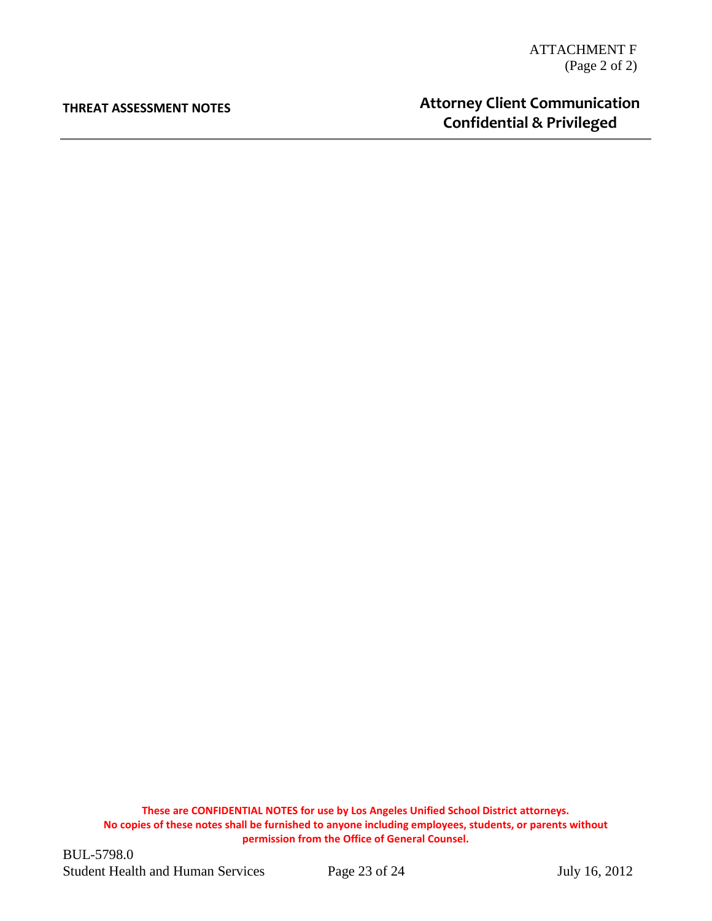#### **THREAT ASSESSMENT NOTES**

# **Attorney Client Communication Confidential & Privileged**

**These are CONFIDENTIAL NOTES for use by Los Angeles Unified School District attorneys. No copies of these notes shall be furnished to anyone including employees, students, or parents without permission from the Office of General Counsel.**